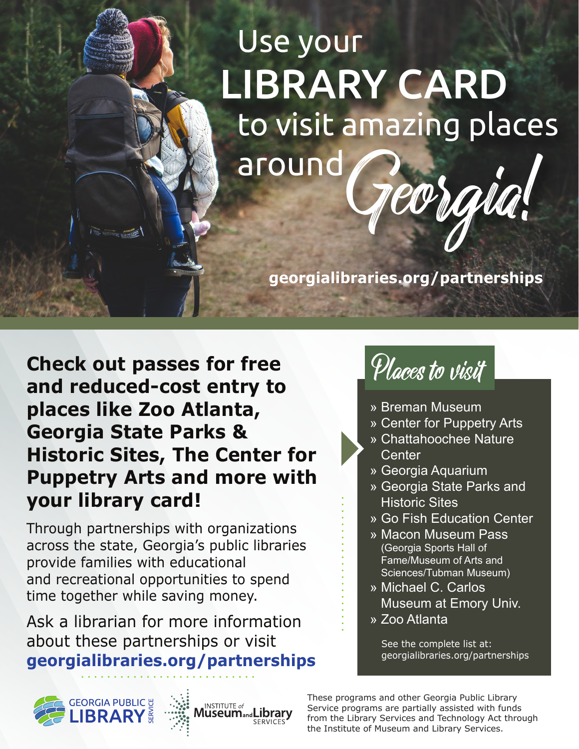## Use your LIBRARY CARD around Georgia! to visit amazing places

**georgialibraries.org/partnerships**

**Check out passes for free and reduced-cost entry to places like Zoo Atlanta, Georgia State Parks & Historic Sites, The Center for Puppetry Arts and more with your library card!**

Through partnerships with organizations across the state, Georgia's public libraries provide families with educational and recreational opportunities to spend time together while saving money.

Ask a librarian for more information about these partnerships or visit **georgialibraries.org/partnerships**









- » Breman Museum
- » Center for Puppetry Arts
- » Chattahoochee Nature **Center**
- » Georgia Aquarium
- » Georgia State Parks and **Historic Sites**
- » Go Fish Education Center
- » Macon Museum Pass (Georgia Sports Hall of Fame/Museum of Arts and Sciences/Tubman Museum)
- » Michael C. Carlos Museum at Emory Univ.
- » Zoo Atlanta

See the complete list at: georgialibraries.org/partnerships

These programs and other Georgia Public Library Service programs are partially assisted with funds from the Library Services and Technology Act through the Institute of Museum and Library Services.